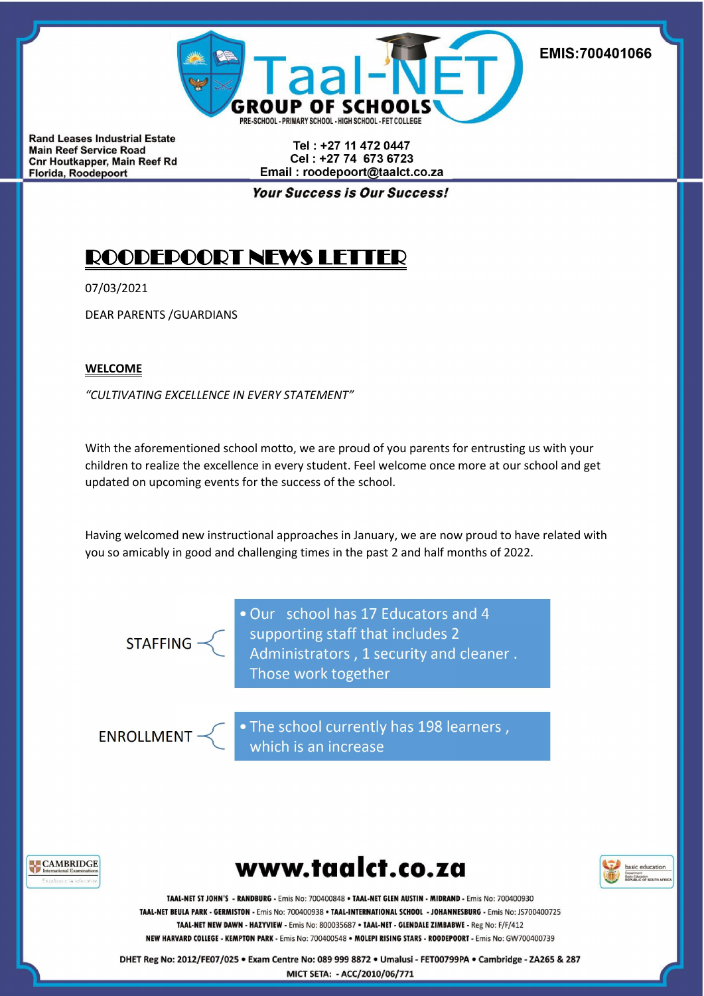

Tel: +27 11 472 0447 Cel: +27 74 673 6723 Email: roodepoort@taalct.co.za

**Your Success is Our Success!** 

# ROODEPOORT NEWS LETTER

07/03/2021

DEAR PARENTS /GUARDIANS

## **WELCOME**

*"CULTIVATING EXCELLENCE IN EVERY STATEMENT"*

With the aforementioned school motto, we are proud of you parents for entrusting us with your children to realize the excellence in every student. Feel welcome once more at our school and get updated on upcoming events for the success of the school.

Having welcomed new instructional approaches in January, we are now proud to have related with you so amicably in good and challenging times in the past 2 and half months of 2022.

**STAFFING** 

. Our school has 17 Educators and 4 supporting staff that includes 2<br>Administrators, 1 security and cleaner. Those work together

**ENROLLMENT** 

. The school currently has 198 learners, which is an increase







TAAL-NET ST JOHN'S - RANDBURG - Emis No: 700400848 . TAAL-NET GLEN AUSTIN - MIDRAND - Emis No: 700400930 TAAL-NET BEULA PARK - GERMISTON - Emis No: 700400938 . TAAL-INTERNATIONAL SCHOOL - JOHANNESBURG - Emis No: JS700400725 TAAL-NET NEW DAWN - HAZYVIEW - Emis No: 800035687 · TAAL-NET - GLENDALE ZIMBABWE - Reg No: F/F/412 NEW HARVARD COLLEGE - KEMPTON PARK - Emis No: 700400548 · MOLEPI RISING STARS - ROODEPOORT - Emis No: GW700400739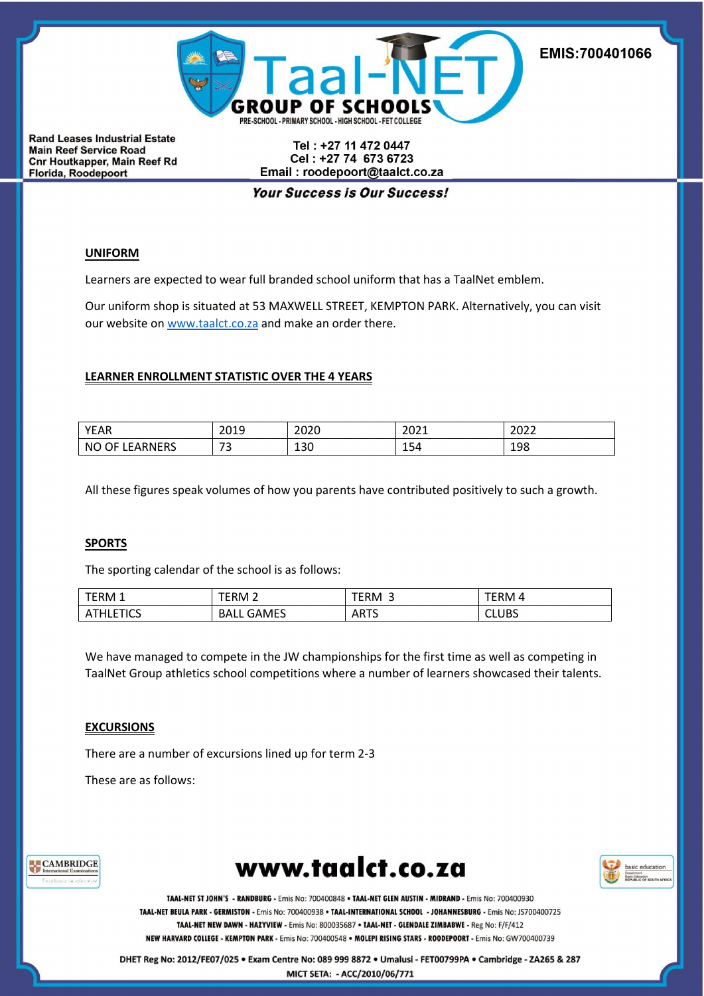

Tel: +27 11 472 0447 Cel: +27 74 673 6723 Email: roodepoort@taalct.co.za

**Your Success is Our Success!** 

## **UNIFORM**

Learners are expected to wear full branded school uniform that has a TaalNet emblem.

Our uniform shop is situated at 53 MAXWELL STREET, KEMPTON PARK. Alternatively, you can visit our website on [www.taalct.co.za](http://www.taalct.co.za) and make an order there.

#### **LEARNER ENROLLMENT STATISTIC OVER THE 4 YEARS**

| <b>VEA</b><br>יור∟                | ∠∪⊥                                  | 202<br>ັ່∽ດ⊽         | 2021            | ברחר<br>LULL |
|-----------------------------------|--------------------------------------|----------------------|-----------------|--------------|
| <b>NC</b><br>'N⊢<br>'N.<br>$\sim$ | $\overline{\phantom{a}}$<br>-<br>$-$ | $\mathcal{L}$<br>TON | -<br><b>LD4</b> | 0٥،<br>TSO   |

All these figures speak volumes of how you parents have contributed positively to such a growth.

#### **SPORTS**

The sporting calendar of the school is as follows:

| <b>TERM 1</b>                             | ERM                         | ERM               | ERM.  |
|-------------------------------------------|-----------------------------|-------------------|-------|
| $\sim$<br>$\mathbf{v}$<br>нсэ<br>-<br>- - | $  -$<br>ВΑ<br>ำAMEა<br>___ | <b>ARTS</b><br>__ | CLUBS |

We have managed to compete in the JW championships for the first time as well as competing in TaalNet Group athletics school competitions where a number of learners showcased their talents.

#### **EXCURSIONS**

There are a number of excursions lined up for term 2-3

These are as follows:







TAAL-NET ST JOHN'S - RANDBURG - Emis No: 700400848 . TAAL-NET GLEN AUSTIN - MIDRAND - Emis No: 700400930 TAAL-NET BEULA PARK - GERMISTON - Emis No: 700400938 . TAAL-INTERNATIONAL SCHOOL - JOHANNESBURG - Emis No: JS700400725 TAAL-NET NEW DAWN - HAZYVIEW - Emis No: 800035687 · TAAL-NET - GLENDALE ZIMBABWE - Reg No: F/F/412 NEW HARVARD COLLEGE - KEMPTON PARK - Emis No: 700400548 · MOLEPI RISING STARS - ROODEPOORT - Emis No: GW700400739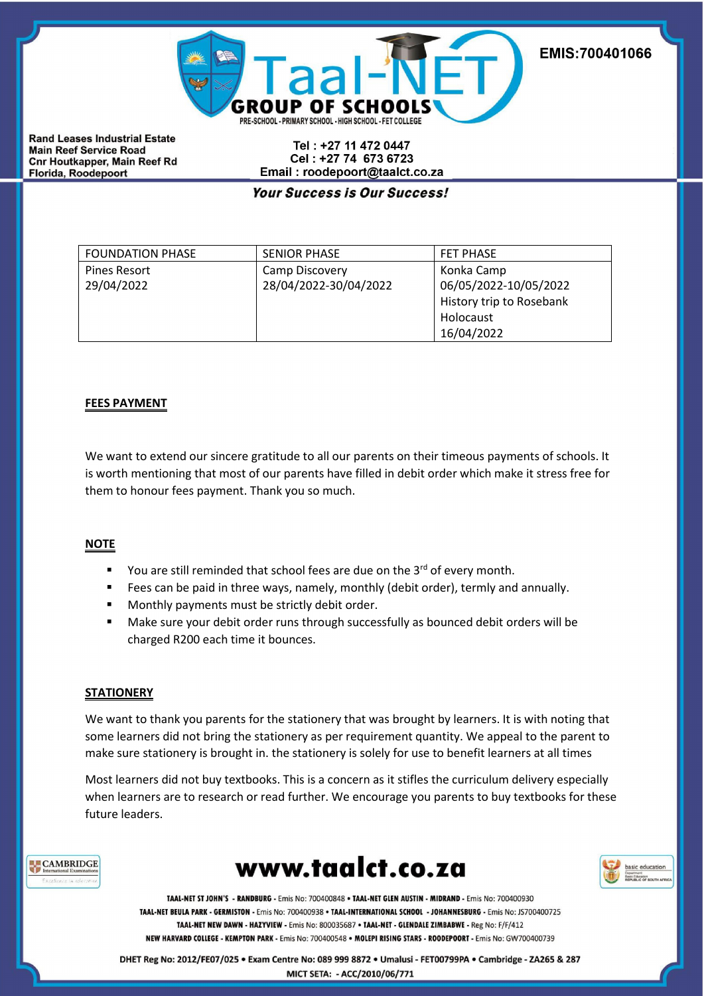

Tel: +27 11 472 0447 Cel: +27 74 673 6723 Email: roodepoort@taalct.co.za

# **Your Success is Our Success!**

| <b>FOUNDATION PHASE</b> | <b>SENIOR PHASE</b>   | <b>FET PHASE</b>         |  |
|-------------------------|-----------------------|--------------------------|--|
| <b>Pines Resort</b>     | Camp Discovery        | Konka Camp               |  |
| 29/04/2022              | 28/04/2022-30/04/2022 | 06/05/2022-10/05/2022    |  |
|                         |                       | History trip to Rosebank |  |
|                         |                       | Holocaust                |  |
|                         |                       | 16/04/2022               |  |

### **FEES PAYMENT**

We want to extend our sincere gratitude to all our parents on their timeous payments of schools. It is worth mentioning that most of our parents have filled in debit order which make it stress free for them to honour fees payment. Thank you so much.

#### **NOTE**

- $\blacksquare$  You are still reminded that school fees are due on the 3<sup>rd</sup> of every month.
- Fees can be paid in three ways, namely, monthly (debit order), termly and annually.
- **Monthly payments must be strictly debit order.**
- Make sure your debit order runs through successfully as bounced debit orders will be charged R200 each time it bounces.

#### **STATIONERY**

We want to thank you parents for the stationery that was brought by learners. It is with noting that some learners did not bring the stationery as per requirement quantity. We appeal to the parent to make sure stationery is brought in. the stationery is solely for use to benefit learners at all times

Most learners did not buy textbooks. This is a concern as it stifles the curriculum delivery especially when learners are to research or read further. We encourage you parents to buy textbooks for these future leaders.







TAAL-NET ST JOHN'S - RANDBURG - Emis No: 700400848 . TAAL-NET GLEN AUSTIN - MIDRAND - Emis No: 700400930 TAAL-NET BEULA PARK - GERMISTON - Emis No: 700400938 · TAAL-INTERNATIONAL SCHOOL - JOHANNESBURG - Emis No: JS700400725 TAAL-NET NEW DAWN - HAZYVIEW - Emis No: 800035687 - TAAL-NET - GLENDALE ZIMBABWE - Reg No: F/F/412 NEW HARVARD COLLEGE - KEMPTON PARK - Emis No: 700400548 · MOLEPI RISING STARS - ROODEPOORT - Emis No: GW700400739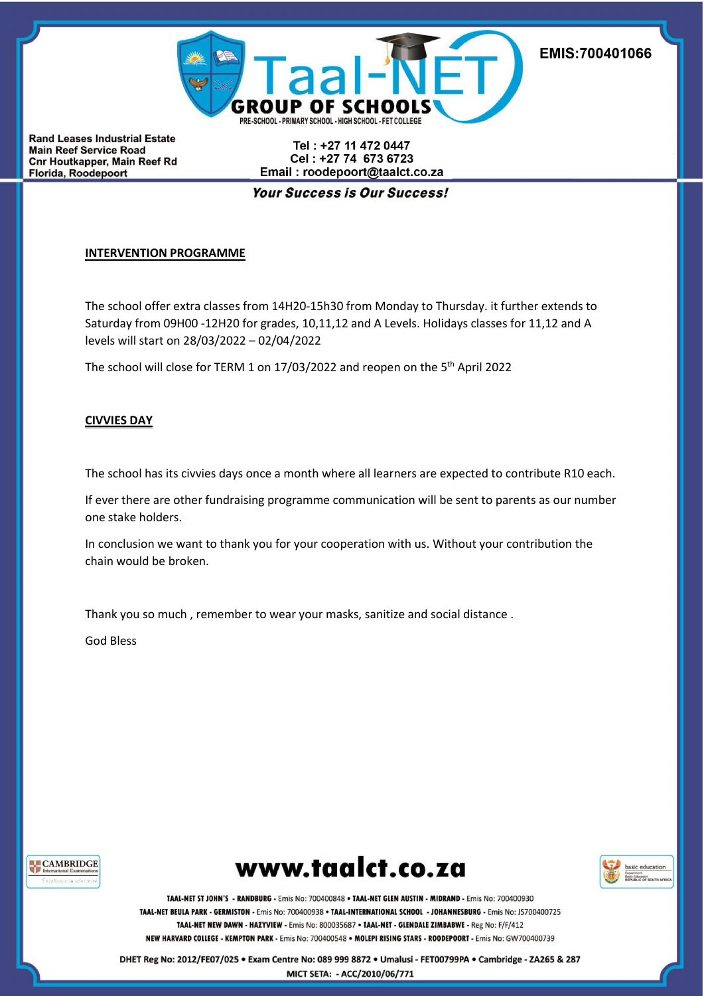

Tel: +27 11 472 0447 Cel: +27 74 673 6723 Email: roodepoort@taalct.co.za

**Your Success is Our Success!** 

# **INTERVENTION PROGRAMME**

The school offer extra classes from 14H20-15h30 from Monday to Thursday. it further extends to Saturday from 09H00 -12H20 for grades, 10,11,12 and A Levels. Holidays classes for 11,12 and A levels will start on 28/03/2022 – 02/04/2022

The school will close for TERM 1 on 17/03/2022 and reopen on the 5<sup>th</sup> April 2022

# **CIVVIES DAY**

The school has its civvies days once a month where all learners are expected to contribute R10 each.

If ever there are other fundraising programme communication will be sent to parents as our number one stake holders.

In conclusion we want to thank you for your cooperation with us. Without your contribution the chain would be broken.

Thank you so much , remember to wear your masks, sanitize and social distance .

God Bless







TAAL-NET ST JOHN'S - RANDBURG - Emis No: 700400848 . TAAL-NET GLEN AUSTIN - MIDRAND - Emis No: 700400930 TAAL-NET BEULA PARK - GERMISTON - Emis No: 700400938 · TAAL-INTERNATIONAL SCHOOL - JOHANNESBURG - Emis No: JS700400725 TAAL-NET NEW DAWN - HAZYVIEW - Emis No: 800035687 · TAAL-NET - GLENDALE ZIMBABWE - Reg No: F/F/412 NEW HARVARD COLLEGE - KEMPTON PARK - Emis No: 700400548 · MOLEPI RISING STARS - ROODEPOORT - Emis No: GW700400739